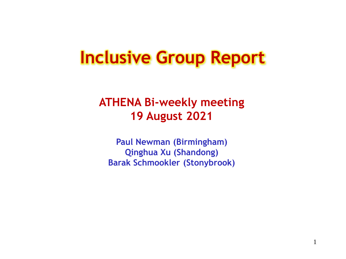# **Inclusive Group Report**

#### **ATHENA Bi-weekly meeting 19 August 2021**

**Paul Newman (Birmingham) Qinghua Xu (Shandong) Barak Schmookler (Stonybrook)**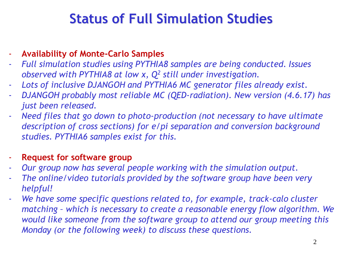#### **Status of Full Simulation Studies**

- **Availability of Monte-Carlo Samples**
- *Full simulation studies using PYTHIA8 samples are being conducted. Issues observed with PYTHIA8 at low x, Q<sup>2</sup> still under investigation.*
- *Lots of inclusive DJANGOH and PYTHIA6 MC generator files already exist.*
- *DJANGOH probably most reliable MC (QED-radiation). New version (4.6.17) has just been released.*
- *Need files that go down to photo-production (not necessary to have ultimate description of cross sections) for e/pi separation and conversion background studies. PYTHIA6 samples exist for this.*
- **Request for software group**
- *Our group now has several people working with the simulation output.*
- The online/video tutorials provided by the software group have been very *helpful!*
- *We have some specific questions related to, for example, track-calo cluster matching – which is necessary to create a reasonable energy flow algorithm. We would like someone from the software group to attend our group meeting this Monday (or the following week) to discuss these questions.*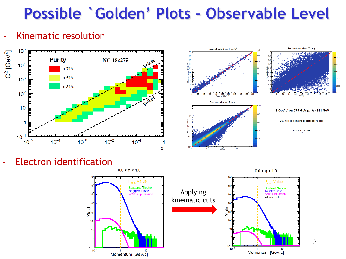## **Possible `Golden' Plots – Observable Level**

#### - Kinematic resolution



 $10$ 

 $10<sup>4</sup>$ 

Yield



- Electron identification



 $0.0 < \eta < 1.0$ 

P<sub>min.</sub> Value

**Negative Pions** 

all w/kin. cuts

**Scattered Electron** 

10

3